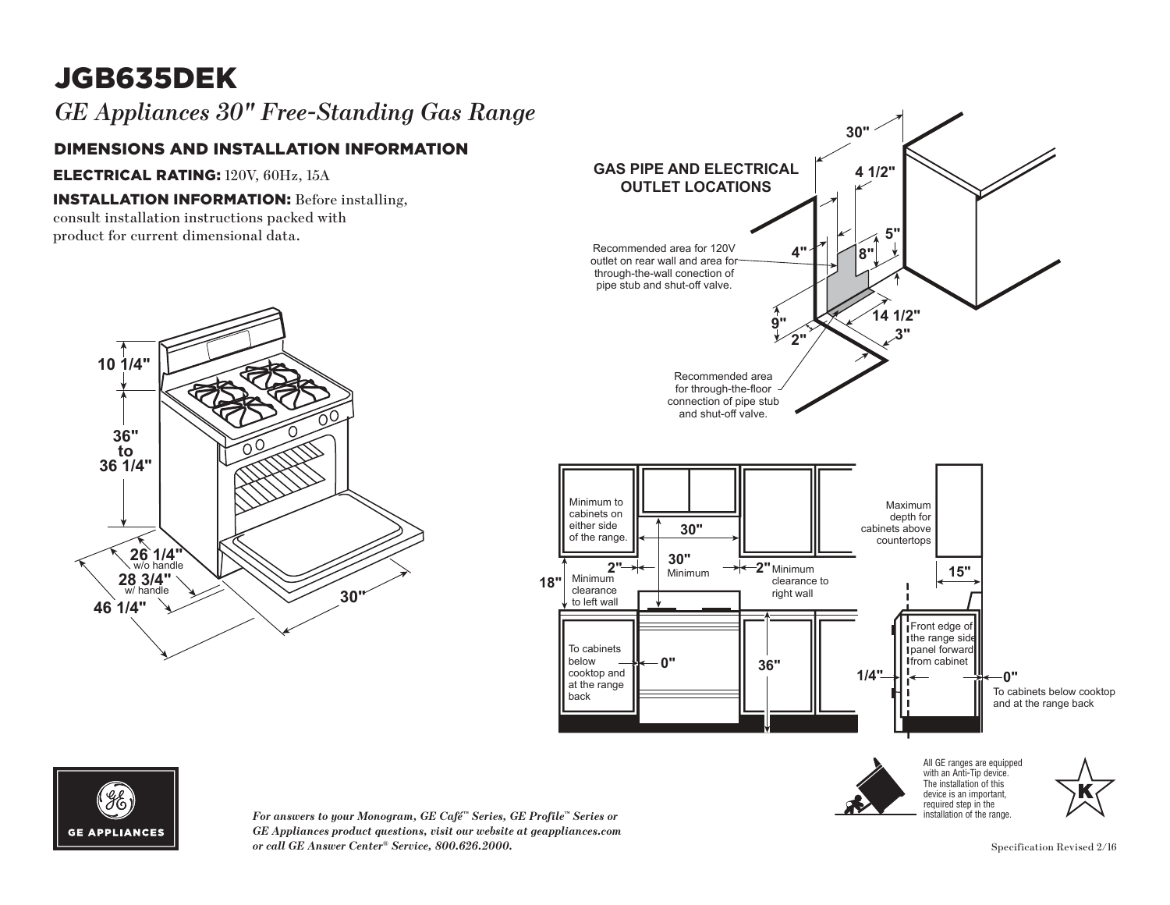# JGB635DEK

### *GE Appliances 30" Free-Standing Gas Range*

### DIMENSIONS AND INSTALLATION INFORMATION

ELECTRICAL RATING: 120V, 60Hz, 15A **10 1/4"**

#### **INSTALLATION INFORMATION:** Before installing,

consult installation instructions packed with product for current dimensional data. **36"**







*For answers to your Monogram, GE Café™ Series, GE Profile™ Series or*  clearance right wall **18"** *GE Appliances product questions, visit our website at geappliances.com*  $GE$  *Appliances product questions, visit our website at geappliances.com or call GE Answer Center® Service, 800.626.2000.* Specification Revised 2/16  $\overline{m}$ 

installation of the range.